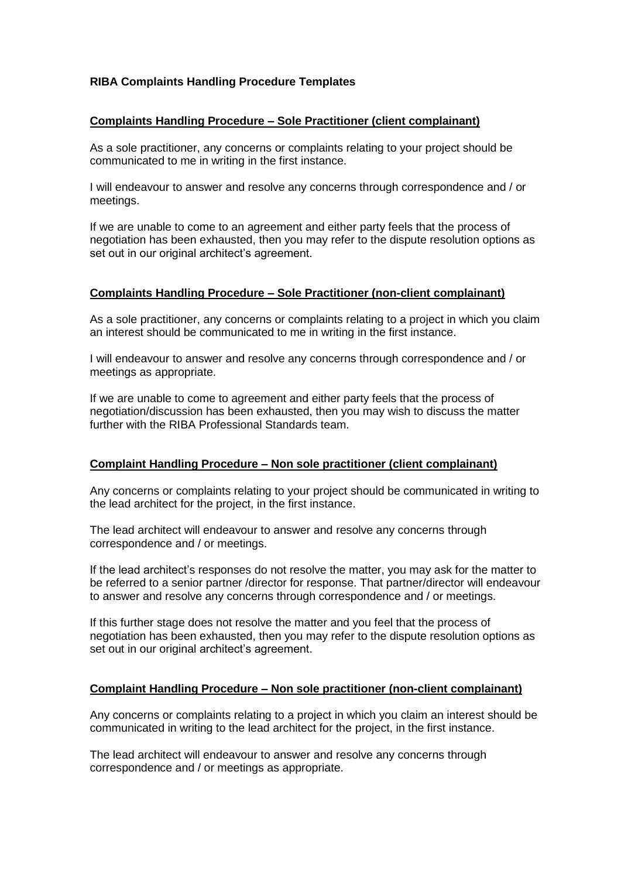# **RIBA Complaints Handling Procedure Templates**

### **Complaints Handling Procedure – Sole Practitioner (client complainant)**

As a sole practitioner, any concerns or complaints relating to your project should be communicated to me in writing in the first instance.

I will endeavour to answer and resolve any concerns through correspondence and / or meetings.

If we are unable to come to an agreement and either party feels that the process of negotiation has been exhausted, then you may refer to the dispute resolution options as set out in our original architect's agreement.

#### **Complaints Handling Procedure – Sole Practitioner (non-client complainant)**

As a sole practitioner, any concerns or complaints relating to a project in which you claim an interest should be communicated to me in writing in the first instance.

I will endeavour to answer and resolve any concerns through correspondence and / or meetings as appropriate.

If we are unable to come to agreement and either party feels that the process of negotiation/discussion has been exhausted, then you may wish to discuss the matter further with the RIBA Professional Standards team.

## **Complaint Handling Procedure – Non sole practitioner (client complainant)**

Any concerns or complaints relating to your project should be communicated in writing to the lead architect for the project, in the first instance.

The lead architect will endeavour to answer and resolve any concerns through correspondence and / or meetings.

If the lead architect's responses do not resolve the matter, you may ask for the matter to be referred to a senior partner /director for response. That partner/director will endeavour to answer and resolve any concerns through correspondence and / or meetings.

If this further stage does not resolve the matter and you feel that the process of negotiation has been exhausted, then you may refer to the dispute resolution options as set out in our original architect's agreement.

## **Complaint Handling Procedure – Non sole practitioner (non-client complainant)**

Any concerns or complaints relating to a project in which you claim an interest should be communicated in writing to the lead architect for the project, in the first instance.

The lead architect will endeavour to answer and resolve any concerns through correspondence and / or meetings as appropriate.